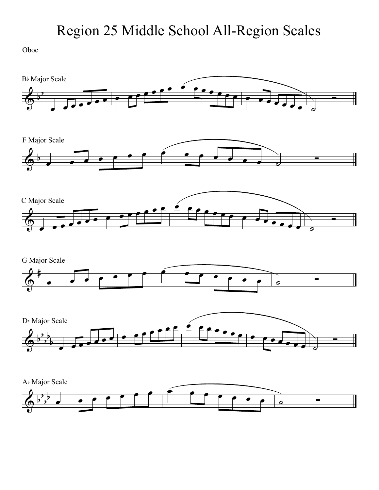Oboe